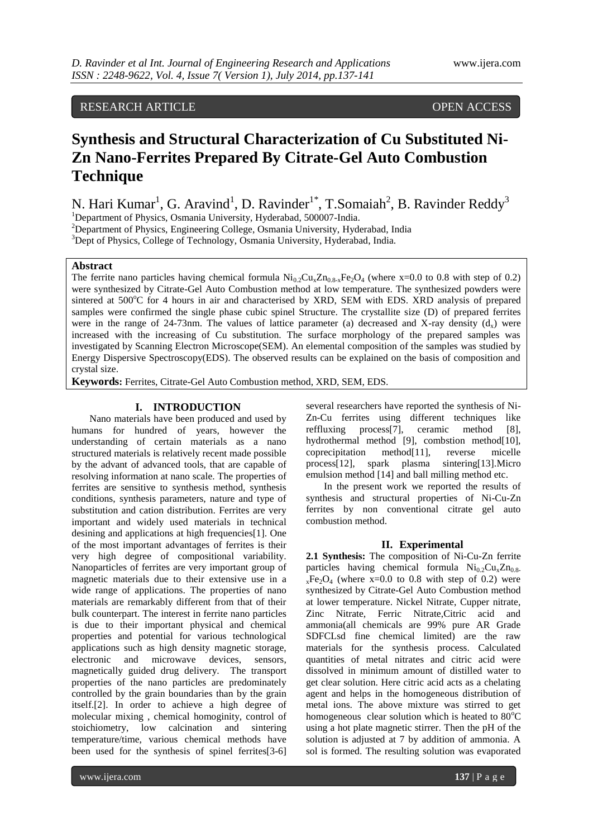## RESEARCH ARTICLE OPEN ACCESS

# **Synthesis and Structural Characterization of Cu Substituted Ni-Zn Nano-Ferrites Prepared By Citrate-Gel Auto Combustion Technique**

N. Hari Kumar<sup>1</sup>, G. Aravind<sup>1</sup>, D. Ravinder<sup>1\*</sup>, T.Somaiah<sup>2</sup>, B. Ravinder Reddy<sup>3</sup> <sup>1</sup>Department of Physics, Osmania University, Hyderabad, 500007-India.

<sup>2</sup>Department of Physics, Engineering College, Osmania University, Hyderabad, India <sup>3</sup>Dept of Physics, College of Technology, Osmania University, Hyderabad, India.

## **Abstract**

The ferrite nano particles having chemical formula  $Ni_{0.2}Cu_{x}Zn_{0.8-x}Fe_{2}O_{4}$  (where x=0.0 to 0.8 with step of 0.2) were synthesized by Citrate-Gel Auto Combustion method at low temperature. The synthesized powders were sintered at 500°C for 4 hours in air and characterised by XRD, SEM with EDS. XRD analysis of prepared samples were confirmed the single phase cubic spinel Structure. The crystallite size (D) of prepared ferrites were in the range of 24-73nm. The values of lattice parameter (a) decreased and X-ray density  $(d<sub>x</sub>)$  were increased with the increasing of Cu substitution. The surface morphology of the prepared samples was investigated by Scanning Electron Microscope(SEM). An elemental composition of the samples was studied by Energy Dispersive Spectroscopy(EDS). The observed results can be explained on the basis of composition and crystal size.

**Keywords:** Ferrites, Citrate-Gel Auto Combustion method, XRD, SEM, EDS.

## **I. INTRODUCTION**

Nano materials have been produced and used by humans for hundred of years, however the understanding of certain materials as a nano structured materials is relatively recent made possible by the advant of advanced tools, that are capable of resolving information at nano scale. The properties of ferrites are sensitive to synthesis method, synthesis conditions, synthesis parameters, nature and type of substitution and cation distribution. Ferrites are very important and widely used materials in technical desining and applications at high frequencies[1]. One of the most important advantages of ferrites is their very high degree of compositional variability. Nanoparticles of ferrites are very important group of magnetic materials due to their extensive use in a wide range of applications. The properties of nano materials are remarkably different from that of their bulk counterpart. The interest in ferrite nano particles is due to their important physical and chemical properties and potential for various technological applications such as high density magnetic storage, electronic and microwave devices, sensors, magnetically guided drug delivery. The transport properties of the nano particles are predominately controlled by the grain boundaries than by the grain itself.[2]. In order to achieve a high degree of molecular mixing , chemical homoginity, control of stoichiometry, low calcination and sintering temperature/time, various chemical methods have been used for the synthesis of spinel ferrites[3-6]

several researchers have reported the synthesis of Ni-Zn-Cu ferrites using different techniques like reffluxing process[7], ceramic method [8], hydrothermal method [9], combstion method[10], coprecipitation method[11], reverse micelle process[12], spark plasma sintering[13].Micro emulsion method [14] and ball milling method etc.

In the present work we reported the results of synthesis and structural properties of Ni-Cu-Zn ferrites by non conventional citrate gel auto combustion method.

## **II. Experimental**

**2.1 Synthesis:** The composition of Ni-Cu-Zn ferrite particles having chemical formula  $Ni_{0.2}Cu_{x}Zn_{0.8-}$  $xFe<sub>2</sub>O<sub>4</sub>$  (where  $x=0.0$  to 0.8 with step of 0.2) were synthesized by Citrate-Gel Auto Combustion method at lower temperature. Nickel Nitrate, Cupper nitrate, Zinc Nitrate, Ferric Nitrate,Citric acid and ammonia(all chemicals are 99% pure AR Grade SDFCLsd fine chemical limited) are the raw materials for the synthesis process. Calculated quantities of metal nitrates and citric acid were dissolved in minimum amount of distilled water to get clear solution. Here citric acid acts as a chelating agent and helps in the homogeneous distribution of metal ions. The above mixture was stirred to get homogeneous clear solution which is heated to  $80^{\circ}$ C using a hot plate magnetic stirrer. Then the pH of the solution is adjusted at 7 by addition of ammonia. A sol is formed. The resulting solution was evaporated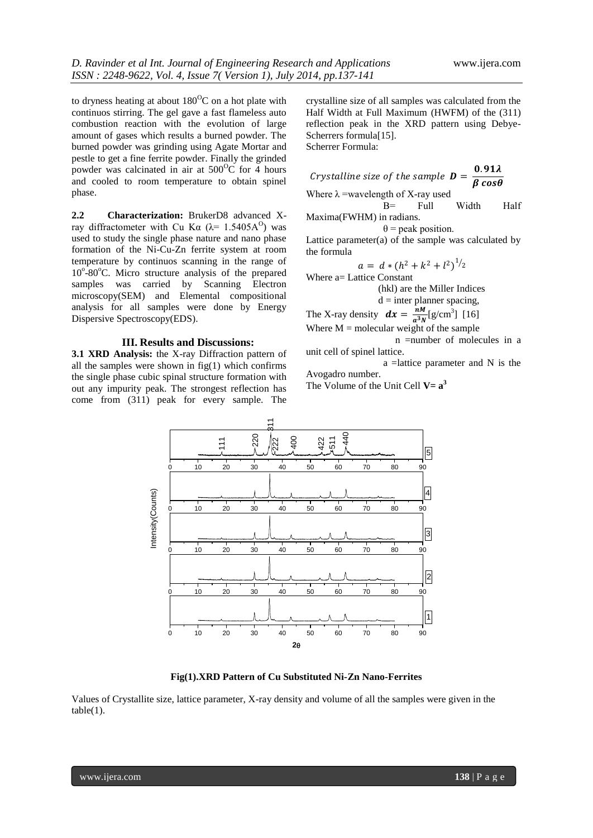to dryness heating at about  $180^{\circ}$ C on a hot plate with continuos stirring. The gel gave a fast flameless auto combustion reaction with the evolution of large amount of gases which results a burned powder. The burned powder was grinding using Agate Mortar and pestle to get a fine ferrite powder. Finally the grinded powder was calcinated in air at  $500^{\circ}$ C for 4 hours and cooled to room temperature to obtain spinel phase.

**2.2 Characterization:** BrukerD8 advanced Xray diffractometer with Cu Kα ( $λ$ = 1.5405A<sup>O</sup>) was used to study the single phase nature and nano phase formation of the Ni-Cu-Zn ferrite system at room temperature by continuos scanning in the range of 10°-80°C. Micro structure analysis of the prepared samples was carried by Scanning Electron microscopy(SEM) and Elemental compositional analysis for all samples were done by Energy Dispersive Spectroscopy(EDS).

## **III. Results and Discussions:**

**3.1 XRD Analysis:** the X-ray Diffraction pattern of all the samples were shown in  $fig(1)$  which confirms the single phase cubic spinal structure formation with out any impurity peak. The strongest reflection has come from (311) peak for every sample. The

crystalline size of all samples was calculated from the Half Width at Full Maximum (HWFM) of the (311) reflection peak in the XRD pattern using Debye-Scherrers formula[15]. Scherrer Formula:

Crystalline size of the sample  $\boldsymbol{D} = \frac{0.91\lambda}{9.25\lambda}$  $\pmb{\beta}$  cos $\pmb{\theta}$ Where  $\lambda$  =wavelength of X-ray used Β= Full Width Half Maxima(FWHM) in radians.

 $\theta$  = peak position.

Lattice parameter(a) of the sample was calculated by the formula

$$
a = d * (h2 + k2 + l2)1/2
$$
  
Where a= Lattice Constant

(hkl) are the Miller Indices

$$
d =
$$
inter planner spacing,

The X-ray density  $dx = \frac{nM}{r^3}$  $\frac{nM}{a^3N}$ [g/cm<sup>3</sup>] [16] Where  $M =$  molecular weight of the sample

 n =number of molecules in a unit cell of spinel lattice.

 a =lattice parameter and N is the Avogadro number.

The Volume of the Unit Cell  $V = a^3$ 



**Fig(1).XRD Pattern of Cu Substituted Ni-Zn Nano-Ferrites**

Values of Crystallite size, lattice parameter, X-ray density and volume of all the samples were given in the  $table(1)$ .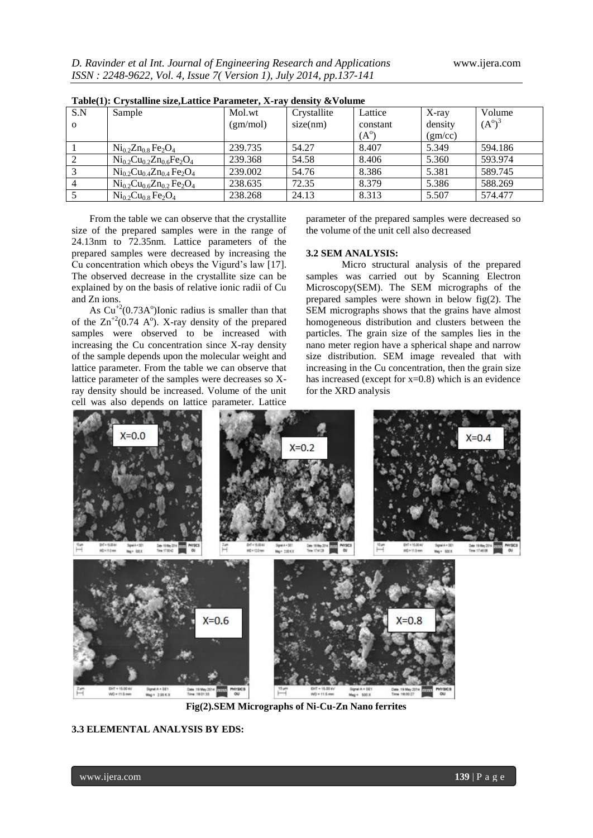| Table(T): Crystalline size, Lattice Parameter, X-ray density & Volume |                                   |          |             |               |         |                 |
|-----------------------------------------------------------------------|-----------------------------------|----------|-------------|---------------|---------|-----------------|
| S.N                                                                   | Sample                            | Mol.wt   | Crystallite | Lattice       | X-ray   | Volume          |
| $\Omega$                                                              |                                   | (gm/mol) | size(nm)    | constant      | density | $(A^{\circ})^3$ |
|                                                                       |                                   |          |             | $(A^{\circ})$ | (gm/cc) |                 |
|                                                                       | $Ni_{0.2}Zn_{0.8}Fe_2O_4$         | 239.735  | 54.27       | 8.407         | 5.349   | 594.186         |
|                                                                       | $Ni_{0.2}Cu_{0.2}Zn_{0.6}Fe_2O_4$ | 239.368  | 54.58       | 8.406         | 5.360   | 593.974         |
|                                                                       | $Ni_{0.2}Cu_{0.4}Zn_{0.4}Fe_2O_4$ | 239.002  | 54.76       | 8.386         | 5.381   | 589.745         |
|                                                                       | $Ni_{0.2}Cu_{0.6}Zn_{0.2}Fe_2O_4$ | 238.635  | 72.35       | 8.379         | 5.386   | 588.269         |
|                                                                       | $Ni_{0.2}Cu_{0.8}Fe_2O_4$         | 238.268  | 24.13       | 8.313         | 5.507   | 574.477         |

**Table(1): Crystalline size,Lattice Parameter, X-ray density &Volume**

From the table we can observe that the crystallite size of the prepared samples were in the range of 24.13nm to 72.35nm. Lattice parameters of the prepared samples were decreased by increasing the Cu concentration which obeys the Vigurd's law [17]. The observed decrease in the crystallite size can be explained by on the basis of relative ionic radii of Cu and Zn ions.

As  $Cu^{+2}(0.73A^{\circ})$ Ionic radius is smaller than that of the  $\text{Zn}^{+2}(0.74 \text{ A}^{\text{o}})$ . X-ray density of the prepared samples were observed to be increased with increasing the Cu concentration since X-ray density of the sample depends upon the molecular weight and lattice parameter. From the table we can observe that lattice parameter of the samples were decreases so Xray density should be increased. Volume of the unit cell was also depends on lattice parameter. Lattice

parameter of the prepared samples were decreased so the volume of the unit cell also decreased

#### **3.2 SEM ANALYSIS:**

Micro structural analysis of the prepared samples was carried out by Scanning Electron Microscopy(SEM). The SEM micrographs of the prepared samples were shown in below fig(2). The SEM micrographs shows that the grains have almost homogeneous distribution and clusters between the particles. The grain size of the samples lies in the nano meter region have a spherical shape and narrow size distribution. SEM image revealed that with increasing in the Cu concentration, then the grain size has increased (except for  $x=0.8$ ) which is an evidence for the XRD analysis



**Fig(2).SEM Micrographs of Ni-Cu-Zn Nano ferrites**

## **3.3 ELEMENTAL ANALYSIS BY EDS:**

www.ijera.com **139** | P a g e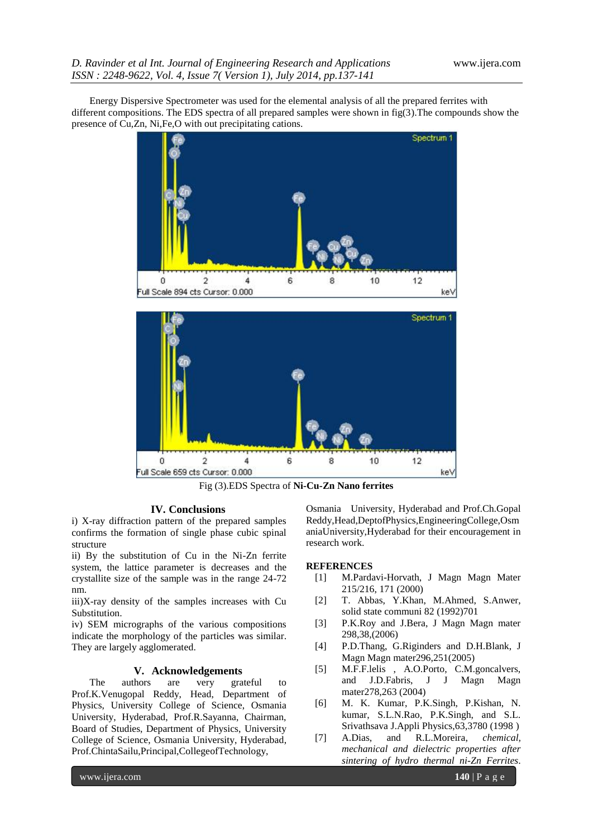Energy Dispersive Spectrometer was used for the elemental analysis of all the prepared ferrites with different compositions. The EDS spectra of all prepared samples were shown in fig(3).The compounds show the presence of Cu,Zn, Ni,Fe,O with out precipitating cations.





Fig (3).EDS Spectra of **Ni-Cu-Zn Nano ferrites**

#### **IV. Conclusions**

i) X-ray diffraction pattern of the prepared samples confirms the formation of single phase cubic spinal structure

ii) By the substitution of Cu in the Ni-Zn ferrite system, the lattice parameter is decreases and the crystallite size of the sample was in the range 24-72 nm.

iii)X-ray density of the samples increases with Cu Substitution.

iv) SEM micrographs of the various compositions indicate the morphology of the particles was similar. They are largely agglomerated.

### **V. Acknowledgements**

The authors are very grateful to Prof.K.Venugopal Reddy, Head, Department of Physics, University College of Science, Osmania University, Hyderabad, Prof.R.Sayanna, Chairman, Board of Studies, Department of Physics, University College of Science, Osmania University, Hyderabad, Prof.ChintaSailu,Principal,CollegeofTechnology,

Osmania University, Hyderabad and Prof.Ch.Gopal Reddy,Head,DeptofPhysics,EngineeringCollege,Osm aniaUniversity,Hyderabad for their encouragement in research work.

## **REFERENCES**

- [1] M.Pardavi-Horvath, J Magn Magn Mater 215/216, 171 (2000)
- [2] T. Abbas, Y.Khan, M.Ahmed, S.Anwer, solid state communi 82 (1992)701
- [3] P.K.Roy and J.Bera, J Magn Magn mater 298,38,(2006)
- [4] P.D.Thang, G.Riginders and D.H.Blank, J Magn Magn mater296,251(2005)
- [5] M.F.F.lelis , A.O.Porto, C.M.goncalvers, and J.D.Fabris, J J Magn Magn mater278,263 (2004)
- [6] M. K. Kumar, P.K.Singh, P.Kishan, N. kumar, S.L.N.Rao, P.K.Singh, and S.L. Srivathsava J.Appli Physics,63,3780 (1998 )
- [7] A.Dias, and R.L.Moreira, *chemical, mechanical and dielectric properties after sintering of hydro thermal ni-Zn Ferrites*.